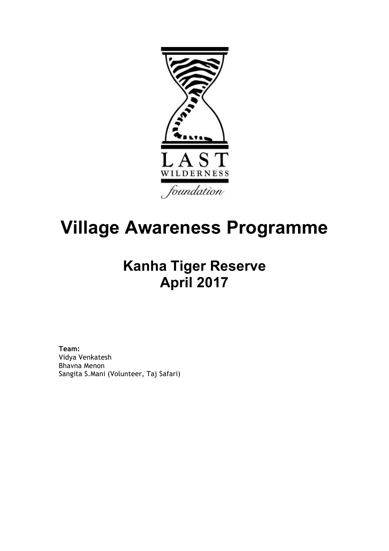

# **Village Awareness Programme**

## **Kanha Tiger Reserve April 2017**

**Team:**  Vidya Venkatesh Bhavna Menon Sangita S.Mani (Volunteer, Taj Safari)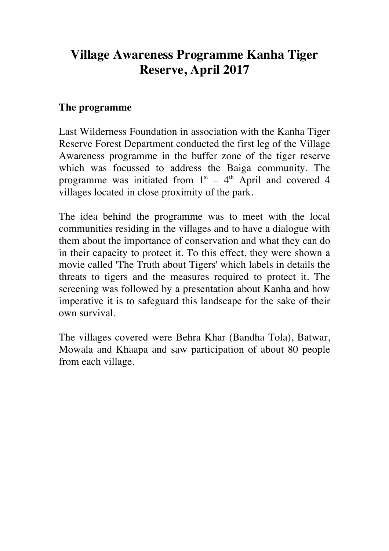### **Village Awareness Programme Kanha Tiger Reserve, April 2017**

#### **The programme**

Last Wilderness Foundation in association with the Kanha Tiger Reserve Forest Department conducted the first leg of the Village Awareness programme in the buffer zone of the tiger reserve which was focussed to address the Baiga community. The programme was initiated from  $1<sup>st</sup> - 4<sup>th</sup>$  April and covered 4 villages located in close proximity of the park.

The idea behind the programme was to meet with the local communities residing in the villages and to have a dialogue with them about the importance of conservation and what they can do in their capacity to protect it. To this effect, they were shown a movie called 'The Truth about Tigers' which labels in details the threats to tigers and the measures required to protect it. The screening was followed by a presentation about Kanha and how imperative it is to safeguard this landscape for the sake of their own survival.

The villages covered were Behra Khar (Bandha Tola), Batwar, Mowala and Khaapa and saw participation of about 80 people from each village.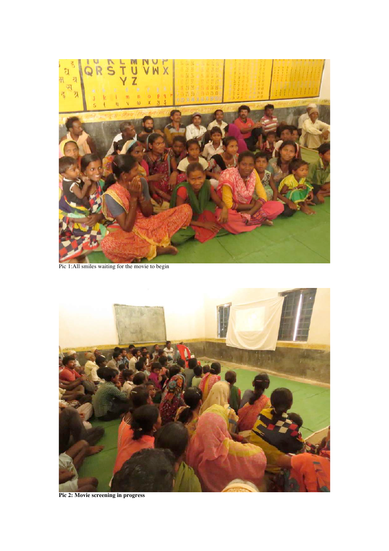

Pic 1:All smiles waiting for the movie to begin



**Pic 2: Movie screening in progress**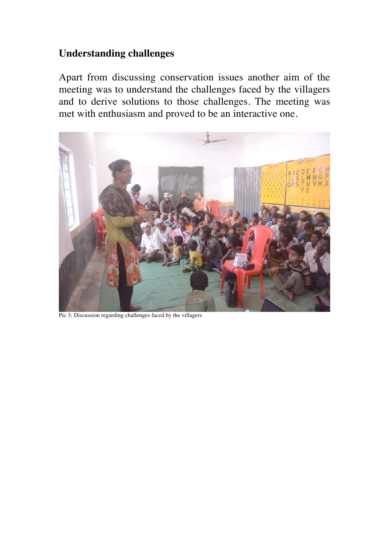#### **Understanding challenges**

Apart from discussing conservation issues another aim of the meeting was to understand the challenges faced by the villagers and to derive solutions to those challenges. The meeting was met with enthusiasm and proved to be an interactive one.



Pic 3: Discussion regarding challenges faced by the villagers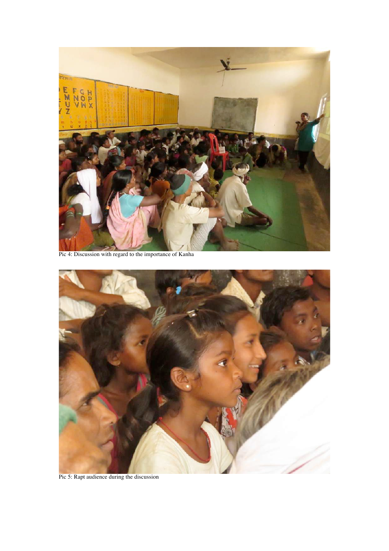

Pic 4: Discussion with regard to the importance of Kanha



Pic 5: Rapt audience during the discussion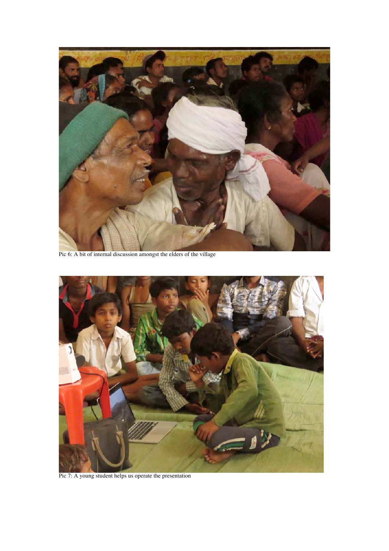

Pic 6: A bit of internal discussion amongst the elders of the village



Pic 7: A young student helps us operate the presentation